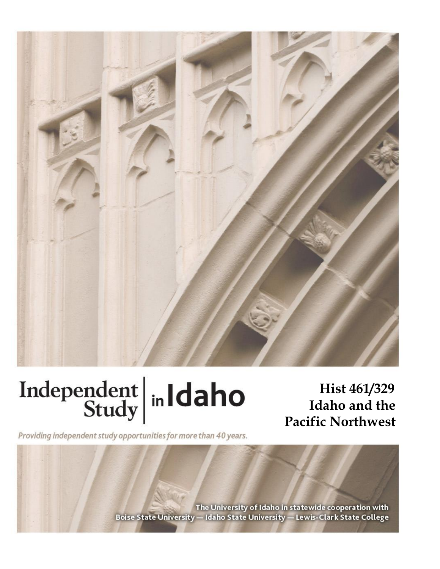

# Independent  $\left|\frac{\text{ind}}{\text{Study}}\right|$  in Idaho

**Hist 461/329 Idaho and the Pacific Northwest**

Providing independent study opportunities for more than 40 years.

The University of Idaho in statewide cooperation with Boise State University - Idaho State University - Lewis-Clark State College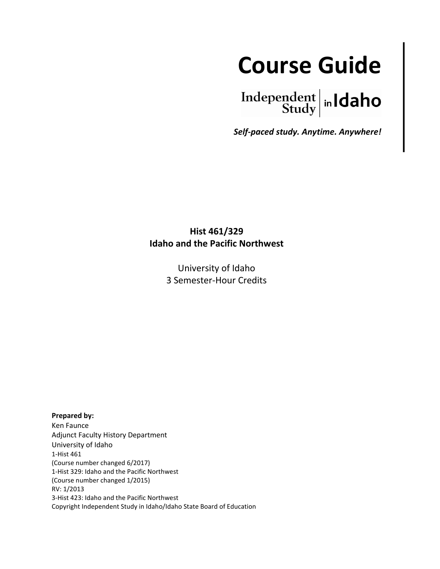

Independent  $\left| \text{in} \right|$   $\left| \text{d} \text{aho} \right|$ 

*Self-paced study. Anytime. Anywhere!* 

# **Hist 461/329 Idaho and the Pacific Northwest**

University of Idaho 3 Semester-Hour Credits

**Prepared by:**

Ken Faunce Adjunct Faculty History Department University of Idaho 1-Hist 461 (Course number changed 6/2017) 1-Hist 329: Idaho and the Pacific Northwest (Course number changed 1/2015) RV: 1/2013 3-Hist 423: Idaho and the Pacific Northwest Copyright Independent Study in Idaho/Idaho State Board of Education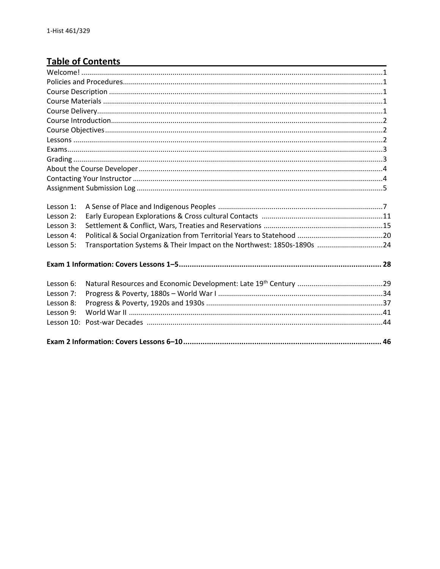# **Table of Contents**

| Lesson 1:     |                                                                        |  |
|---------------|------------------------------------------------------------------------|--|
| Lesson 2:     |                                                                        |  |
| Lesson 3:     |                                                                        |  |
| Lesson 4:     |                                                                        |  |
| Lesson 5:     | Transportation Systems & Their Impact on the Northwest: 1850s-1890s 24 |  |
|               |                                                                        |  |
| Lesson 6:     |                                                                        |  |
| Lesson 7:     |                                                                        |  |
| Lesson 8:     |                                                                        |  |
| Lesson 9:     |                                                                        |  |
| Lesson $10$ : |                                                                        |  |
|               |                                                                        |  |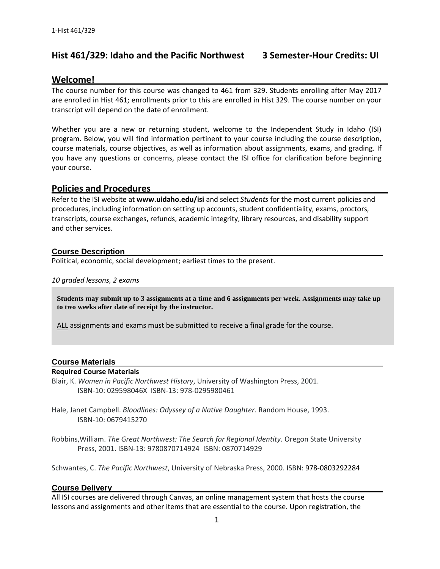## **Hist 461/329: Idaho and the Pacific Northwest 3 Semester-Hour Credits: UI**

## Welcome!

The course number for this course was changed to 461 from 329. Students enrolling after May 2017 are enrolled in Hist 461; enrollments prior to this are enrolled in Hist 329. The course number on your transcript will depend on the date of enrollment.

Whether you are a new or returning student, welcome to the Independent Study in Idaho (ISI) program. Below, you will find information pertinent to your course including the course description, course materials, course objectives, as well as information about assignments, exams, and grading. If you have any questions or concerns, please contact the ISI office for clarification before beginning your course.

#### **Policies and Procedures \_\_\_\_\_\_\_\_\_\_\_\_\_\_\_\_\_\_\_\_\_\_\_\_\_\_\_\_\_\_\_\_\_\_\_\_\_\_\_\_\_\_\_\_\_\_**

Refer to the ISI website at **www.uidaho.edu/isi** and select *Students* for the most current policies and procedures, including information on setting up accounts, student confidentiality, exams, proctors, transcripts, course exchanges, refunds, academic integrity, library resources, and disability support and other services.

#### **Course Description**

Political, economic, social development; earliest times to the present.

#### *10 graded lessons, 2 exams*

**Students may submit up to 3 assignments at a time and 6 assignments per week. Assignments may take up to two weeks after date of receipt by the instructor.**

ALL assignments and exams must be submitted to receive a final grade for the course.

#### **Course Materials**

#### **Required Course Materials**

Blair, K. *Women in Pacific Northwest History*, University of Washington Press, 2001. ISBN-10: 029598046X ISBN-13: 978-0295980461

Hale, Janet Campbell. *Bloodlines: Odyssey of a Native Daughter.* Random House, 1993. ISBN-10: 0679415270

Robbins,William. *The Great Northwest: The Search for Regional Identity.* Oregon State University Press, 2001. ISBN-13: 9780870714924 ISBN: 0870714929

Schwantes, C. *The Pacific Northwest*, University of Nebraska Press, 2000. ISBN: 978-0803292284

#### **Course Delivery**

All ISI courses are delivered through Canvas, an online management system that hosts the course lessons and assignments and other items that are essential to the course. Upon registration, the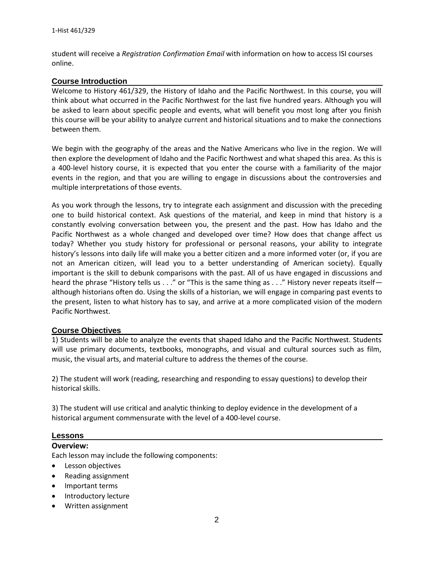student will receive a *Registration Confirmation Email* with information on how to access ISI courses online.

#### **Course Introduction**

Welcome to History 461/329, the History of Idaho and the Pacific Northwest. In this course, you will think about what occurred in the Pacific Northwest for the last five hundred years. Although you will be asked to learn about specific people and events, what will benefit you most long after you finish this course will be your ability to analyze current and historical situations and to make the connections between them.

We begin with the geography of the areas and the Native Americans who live in the region. We will then explore the development of Idaho and the Pacific Northwest and what shaped this area. As this is a 400-level history course, it is expected that you enter the course with a familiarity of the major events in the region, and that you are willing to engage in discussions about the controversies and multiple interpretations of those events.

As you work through the lessons, try to integrate each assignment and discussion with the preceding one to build historical context. Ask questions of the material, and keep in mind that history is a constantly evolving conversation between you, the present and the past. How has Idaho and the Pacific Northwest as a whole changed and developed over time? How does that change affect us today? Whether you study history for professional or personal reasons, your ability to integrate history's lessons into daily life will make you a better citizen and a more informed voter (or, if you are not an American citizen, will lead you to a better understanding of American society). Equally important is the skill to debunk comparisons with the past. All of us have engaged in discussions and heard the phrase "History tells us . . ." or "This is the same thing as . . ." History never repeats itself although historians often do. Using the skills of a historian, we will engage in comparing past events to the present, listen to what history has to say, and arrive at a more complicated vision of the modern Pacific Northwest.

#### **Course Objectives**

1) Students will be able to analyze the events that shaped Idaho and the Pacific Northwest. Students will use primary documents, textbooks, monographs, and visual and cultural sources such as film, music, the visual arts, and material culture to address the themes of the course.

2) The student will work (reading, researching and responding to essay questions) to develop their historical skills.

3) The student will use critical and analytic thinking to deploy evidence in the development of a historical argument commensurate with the level of a 400-level course.

#### **Lessons**

#### **Overview:**

Each lesson may include the following components:

- **•** Lesson objectives
- Reading assignment
- Important terms
- Introductory lecture
- Written assignment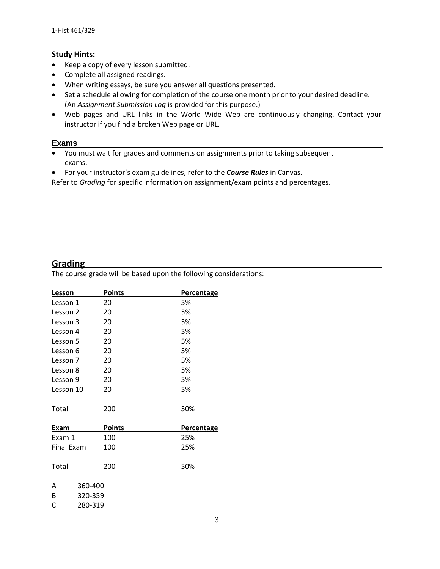#### **Study Hints:**

- Keep a copy of every lesson submitted.
- Complete all assigned readings.
- When writing essays, be sure you answer all questions presented.
- Set a schedule allowing for completion of the course one month prior to your desired deadline. (An *Assignment Submission Log* is provided for this purpose.)
- Web pages and URL links in the World Wide Web are continuously changing. Contact your instructor if you find a broken Web page or URL.

#### **Exams**

- You must wait for grades and comments on assignments prior to taking subsequent exams.
- For your instructor's exam guidelines, refer to the *Course Rules* in Canvas.

Refer to *Grading* for specific information on assignment/exam points and percentages.

## **Grading**

The course grade will be based upon the following considerations:

| Lesson            | <b>Points</b> | <b>Percentage</b> |
|-------------------|---------------|-------------------|
| Lesson 1          | 20            | 5%                |
| Lesson 2          | 20            | 5%                |
| Lesson 3          | 20            | 5%                |
| Lesson 4          | 20            | 5%                |
| Lesson 5          | 20            | 5%                |
| Lesson 6          | 20            | 5%                |
| Lesson 7          | 20            | 5%                |
| Lesson 8          | 20            | 5%                |
| Lesson 9          | 20            | 5%                |
| Lesson 10         | 20            | 5%                |
| Total             | 200           | 50%               |
| Exam              | <b>Points</b> | Percentage        |
| Exam 1            | 100           | 25%               |
| <b>Final Exam</b> | 100           | 25%               |
| Total             | 200           | 50%               |
| 360-400<br>A      |               |                   |
| 320-359<br>B      |               |                   |
| C<br>280-319      |               |                   |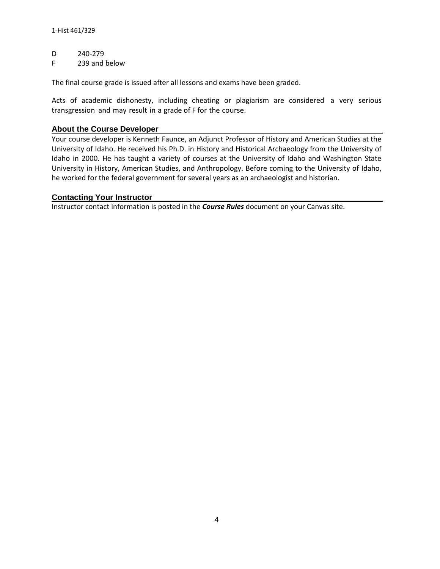D 240-279

F 239 and below

The final course grade is issued after all lessons and exams have been graded.

Acts of academic dishonesty, including cheating or plagiarism are considered a very serious transgression and may result in a grade of F for the course.

#### **About the Course Developer**

Your course developer is Kenneth Faunce, an Adjunct Professor of History and American Studies at the University of Idaho. He received his Ph.D. in History and Historical Archaeology from the University of Idaho in 2000. He has taught a variety of courses at the University of Idaho and Washington State University in History, American Studies, and Anthropology. Before coming to the University of Idaho, he worked for the federal government for several years as an archaeologist and historian.

#### **Contacting Your Instructor**

Instructor contact information is posted in the *Course Rules* document on your Canvas site.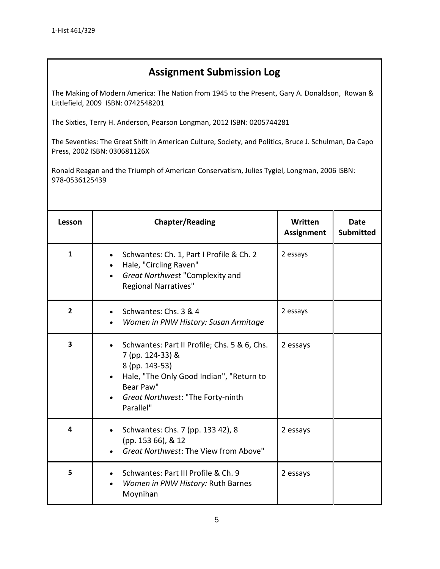# **Assignment Submission Log**

The Making of Modern America: The Nation from 1945 to the Present, Gary A. Donaldson, Rowan & Littlefield, 2009 ISBN: 0742548201

The Sixties, Terry H. Anderson, Pearson Longman, 2012 ISBN: 0205744281

The Seventies: The Great Shift in American Culture, Society, and Politics, Bruce J. Schulman, Da Capo Press, 2002 ISBN: 030681126X

Ronald Reagan and the Triumph of American Conservatism, Julies Tygiel, Longman, 2006 ISBN: 978-0536125439

| Lesson                  | <b>Chapter/Reading</b>                                                                                                                                                                        | Written<br><b>Assignment</b> | <b>Date</b><br><b>Submitted</b> |  |
|-------------------------|-----------------------------------------------------------------------------------------------------------------------------------------------------------------------------------------------|------------------------------|---------------------------------|--|
| $\mathbf{1}$            | Schwantes: Ch. 1, Part I Profile & Ch. 2<br>Hale, "Circling Raven"<br>Great Northwest "Complexity and<br><b>Regional Narratives"</b>                                                          | 2 essays                     |                                 |  |
| $\overline{2}$          | Schwantes: Chs. 3 & 4<br>Women in PNW History: Susan Armitage                                                                                                                                 | 2 essays                     |                                 |  |
| $\overline{\mathbf{3}}$ | Schwantes: Part II Profile; Chs. 5 & 6, Chs.<br>7 (pp. 124-33) &<br>8 (pp. 143-53)<br>Hale, "The Only Good Indian", "Return to<br>Bear Paw"<br>Great Northwest: "The Forty-ninth<br>Parallel" | 2 essays                     |                                 |  |
| 4                       | Schwantes: Chs. 7 (pp. 133 42), 8<br>(pp. 153 66), & 12<br>Great Northwest: The View from Above"                                                                                              | 2 essays                     |                                 |  |
| 5                       | Schwantes: Part III Profile & Ch. 9<br>Women in PNW History: Ruth Barnes<br>Moynihan                                                                                                          | 2 essays                     |                                 |  |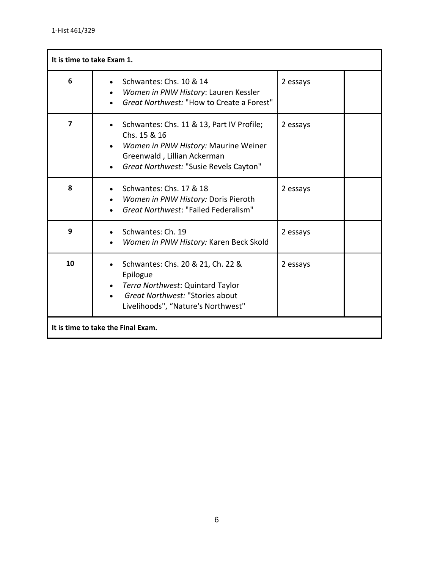| It is time to take Exam 1.         |                                                                                                                                                                            |          |  |  |
|------------------------------------|----------------------------------------------------------------------------------------------------------------------------------------------------------------------------|----------|--|--|
| 6                                  | Schwantes: Chs. 10 & 14<br>Women in PNW History: Lauren Kessler<br>Great Northwest: "How to Create a Forest"                                                               | 2 essays |  |  |
| $\overline{\mathbf{z}}$            | Schwantes: Chs. 11 & 13, Part IV Profile;<br>Chs. 15 & 16<br>Women in PNW History: Maurine Weiner<br>Greenwald, Lillian Ackerman<br>Great Northwest: "Susie Revels Cayton" | 2 essays |  |  |
| 8                                  | Schwantes: Chs. 17 & 18<br>Women in PNW History: Doris Pieroth<br>Great Northwest: "Failed Federalism"                                                                     | 2 essays |  |  |
| 9                                  | Schwantes: Ch. 19<br>Women in PNW History: Karen Beck Skold                                                                                                                | 2 essays |  |  |
| 10                                 | Schwantes: Chs. 20 & 21, Ch. 22 &<br>Epilogue<br>Terra Northwest: Quintard Taylor<br>Great Northwest: "Stories about<br>Livelihoods", "Nature's Northwest"                 | 2 essays |  |  |
| It is time to take the Final Exam. |                                                                                                                                                                            |          |  |  |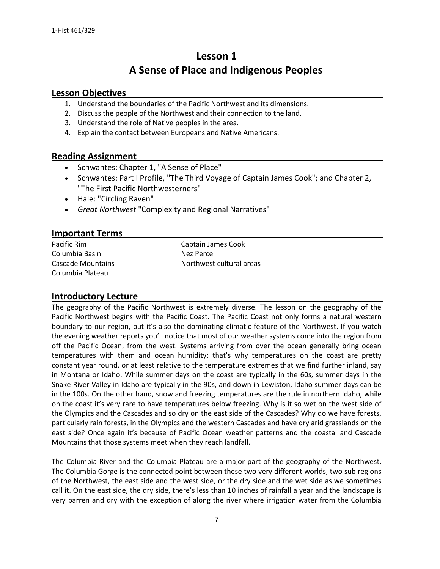# **Lesson 1 A Sense of Place and Indigenous Peoples**

#### **Lesson Objectives**

- 1. Understand the boundaries of the Pacific Northwest and its dimensions.
- 2. Discuss the people of the Northwest and their connection to the land.
- 3. Understand the role of Native peoples in the area.
- 4. Explain the contact between Europeans and Native Americans.

#### **Reading Assignment**

- Schwantes: Chapter 1, "A Sense of Place"
- Schwantes: Part I Profile, "The Third Voyage of Captain James Cook"; and Chapter 2, "The First Pacific Northwesterners"
- Hale: "Circling Raven"
- *Great Northwest* "Complexity and Regional Narratives"

## **Important Terms**

Columbia Basin Nez Perce Columbia Plateau

Pacific Rim **Captain James Cook** Cascade Mountains **Northwest cultural areas** 

#### **Introductory Lecture**

The geography of the Pacific Northwest is extremely diverse. The lesson on the geography of the Pacific Northwest begins with the Pacific Coast. The Pacific Coast not only forms a natural western boundary to our region, but it's also the dominating climatic feature of the Northwest. If you watch the evening weather reports you'll notice that most of our weather systems come into the region from off the Pacific Ocean, from the west. Systems arriving from over the ocean generally bring ocean temperatures with them and ocean humidity; that's why temperatures on the coast are pretty constant year round, or at least relative to the temperature extremes that we find further inland, say in Montana or Idaho. While summer days on the coast are typically in the 60s, summer days in the Snake River Valley in Idaho are typically in the 90s, and down in Lewiston, Idaho summer days can be in the 100s. On the other hand, snow and freezing temperatures are the rule in northern Idaho, while on the coast it's very rare to have temperatures below freezing. Why is it so wet on the west side of the Olympics and the Cascades and so dry on the east side of the Cascades? Why do we have forests, particularly rain forests, in the Olympics and the western Cascades and have dry arid grasslands on the east side? Once again it's because of Pacific Ocean weather patterns and the coastal and Cascade Mountains that those systems meet when they reach landfall.

The Columbia River and the Columbia Plateau are a major part of the geography of the Northwest. The Columbia Gorge is the connected point between these two very different worlds, two sub regions of the Northwest, the east side and the west side, or the dry side and the wet side as we sometimes call it. On the east side, the dry side, there's less than 10 inches of rainfall a year and the landscape is very barren and dry with the exception of along the river where irrigation water from the Columbia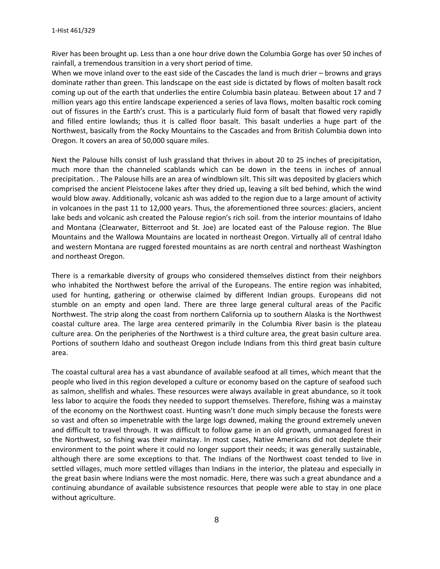River has been brought up. Less than a one hour drive down the Columbia Gorge has over 50 inches of rainfall, a tremendous transition in a very short period of time.

When we move inland over to the east side of the Cascades the land is much drier – browns and grays dominate rather than green. This landscape on the east side is dictated by flows of molten basalt rock coming up out of the earth that underlies the entire Columbia basin plateau. Between about 17 and 7 million years ago this entire landscape experienced a series of lava flows, molten basaltic rock coming out of fissures in the Earth's crust. This is a particularly fluid form of basalt that flowed very rapidly and filled entire lowlands; thus it is called floor basalt. This basalt underlies a huge part of the Northwest, basically from the Rocky Mountains to the Cascades and from British Columbia down into Oregon. It covers an area of 50,000 square miles.

Next the Palouse hills consist of lush grassland that thrives in about 20 to 25 inches of precipitation, much more than the channeled scablands which can be down in the teens in inches of annual precipitation. . The Palouse hills are an area of windblown silt. This silt was deposited by glaciers which comprised the ancient Pleistocene lakes after they dried up, leaving a silt bed behind, which the wind would blow away. Additionally, volcanic ash was added to the region due to a large amount of activity in volcanoes in the past 11 to 12,000 years. Thus, the aforementioned three sources: glaciers, ancient lake beds and volcanic ash created the Palouse region's rich soil. from the interior mountains of Idaho and Montana (Clearwater, Bitterroot and St. Joe) are located east of the Palouse region. The Blue Mountains and the Wallowa Mountains are located in northeast Oregon. Virtually all of central Idaho and western Montana are rugged forested mountains as are north central and northeast Washington and northeast Oregon.

There is a remarkable diversity of groups who considered themselves distinct from their neighbors who inhabited the Northwest before the arrival of the Europeans. The entire region was inhabited, used for hunting, gathering or otherwise claimed by different Indian groups. Europeans did not stumble on an empty and open land. There are three large general cultural areas of the Pacific Northwest. The strip along the coast from northern California up to southern Alaska is the Northwest coastal culture area. The large area centered primarily in the Columbia River basin is the plateau culture area. On the peripheries of the Northwest is a third culture area, the great basin culture area. Portions of southern Idaho and southeast Oregon include Indians from this third great basin culture area.

The coastal cultural area has a vast abundance of available seafood at all times, which meant that the people who lived in this region developed a culture or economy based on the capture of seafood such as salmon, shellfish and whales. These resources were always available in great abundance, so it took less labor to acquire the foods they needed to support themselves. Therefore, fishing was a mainstay of the economy on the Northwest coast. Hunting wasn't done much simply because the forests were so vast and often so impenetrable with the large logs downed, making the ground extremely uneven and difficult to travel through. It was difficult to follow game in an old growth, unmanaged forest in the Northwest, so fishing was their mainstay. In most cases, Native Americans did not deplete their environment to the point where it could no longer support their needs; it was generally sustainable, although there are some exceptions to that. The Indians of the Northwest coast tended to live in settled villages, much more settled villages than Indians in the interior, the plateau and especially in the great basin where Indians were the most nomadic. Here, there was such a great abundance and a continuing abundance of available subsistence resources that people were able to stay in one place without agriculture.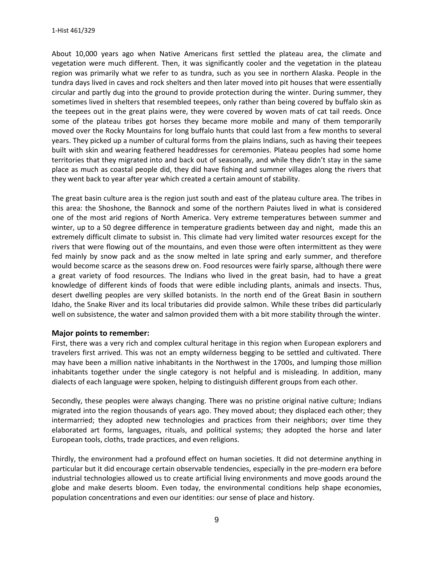About 10,000 years ago when Native Americans first settled the plateau area, the climate and vegetation were much different. Then, it was significantly cooler and the vegetation in the plateau region was primarily what we refer to as tundra, such as you see in northern Alaska. People in the tundra days lived in caves and rock shelters and then later moved into pit houses that were essentially circular and partly dug into the ground to provide protection during the winter. During summer, they sometimes lived in shelters that resembled teepees, only rather than being covered by buffalo skin as the teepees out in the great plains were, they were covered by woven mats of cat tail reeds. Once some of the plateau tribes got horses they became more mobile and many of them temporarily moved over the Rocky Mountains for long buffalo hunts that could last from a few months to several years. They picked up a number of cultural forms from the plains Indians, such as having their teepees built with skin and wearing feathered headdresses for ceremonies. Plateau peoples had some home territories that they migrated into and back out of seasonally, and while they didn't stay in the same place as much as coastal people did, they did have fishing and summer villages along the rivers that they went back to year after year which created a certain amount of stability.

The great basin culture area is the region just south and east of the plateau culture area. The tribes in this area: the Shoshone, the Bannock and some of the northern Paiutes lived in what is considered one of the most arid regions of North America. Very extreme temperatures between summer and winter, up to a 50 degree difference in temperature gradients between day and night, made this an extremely difficult climate to subsist in. This climate had very limited water resources except for the rivers that were flowing out of the mountains, and even those were often intermittent as they were fed mainly by snow pack and as the snow melted in late spring and early summer, and therefore would become scarce as the seasons drew on. Food resources were fairly sparse, although there were a great variety of food resources. The Indians who lived in the great basin, had to have a great knowledge of different kinds of foods that were edible including plants, animals and insects. Thus, desert dwelling peoples are very skilled botanists. In the north end of the Great Basin in southern Idaho, the Snake River and its local tributaries did provide salmon. While these tribes did particularly well on subsistence, the water and salmon provided them with a bit more stability through the winter.

#### **Major points to remember:**

First, there was a very rich and complex cultural heritage in this region when European explorers and travelers first arrived. This was not an empty wilderness begging to be settled and cultivated. There may have been a million native inhabitants in the Northwest in the 1700s, and lumping those million inhabitants together under the single category is not helpful and is misleading. In addition, many dialects of each language were spoken, helping to distinguish different groups from each other.

Secondly, these peoples were always changing. There was no pristine original native culture; Indians migrated into the region thousands of years ago. They moved about; they displaced each other; they intermarried; they adopted new technologies and practices from their neighbors; over time they elaborated art forms, languages, rituals, and political systems; they adopted the horse and later European tools, cloths, trade practices, and even religions.

Thirdly, the environment had a profound effect on human societies. It did not determine anything in particular but it did encourage certain observable tendencies, especially in the pre-modern era before industrial technologies allowed us to create artificial living environments and move goods around the globe and make deserts bloom. Even today, the environmental conditions help shape economies, population concentrations and even our identities: our sense of place and history.